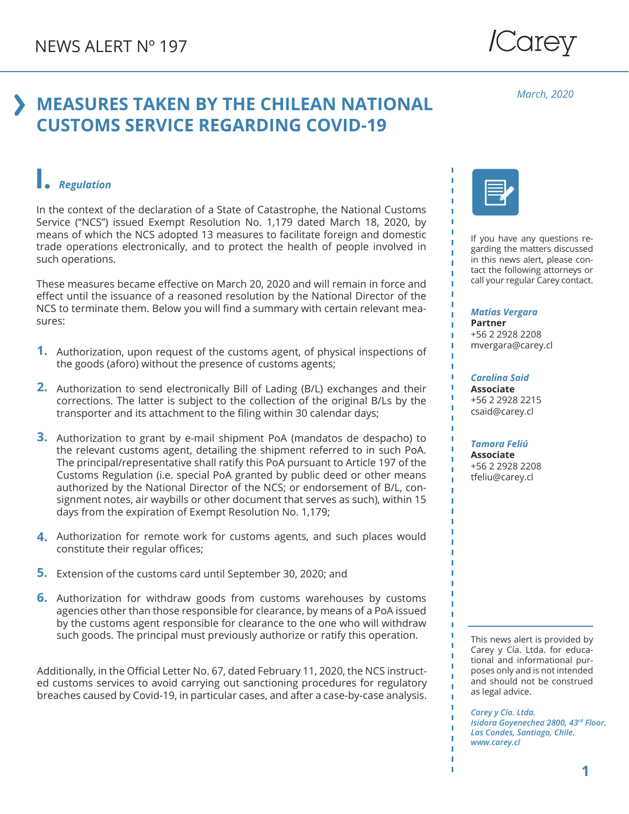# */Carey*

### **MEASURES TAKEN BY THE CHILEAN NATIONAL CUSTOMS SERVICE REGARDING COVID-19**

#### *March, 2020*

#### **I.** *Regulation*

In the context of the declaration of a State of Catastrophe, the National Customs Service ("NCS") issued Exempt Resolution No. 1,179 dated March 18, 2020, by means of which the NCS adopted 13 measures to facilitate foreign and domestic trade operations electronically, and to protect the health of people involved in such operations.

These measures became effective on March 20, 2020 and will remain in force and effect until the issuance of a reasoned resolution by the National Director of the NCS to terminate them. Below you will find a summary with certain relevant measures:

- **1.** Authorization, upon request of the customs agent, of physical inspections of the goods (aforo) without the presence of customs agents;
- 2. Authorization to send electronically Bill of Lading (B/L) exchanges and their corrections. The latter is subject to the collection of the original B/Ls by the transporter and its attachment to the filing within 30 calendar days;
- **3.** Authorization to grant by e-mail shipment PoA (mandatos de despacho) to the relevant customs agent, detailing the shipment referred to in such PoA. The principal/representative shall ratify this PoA pursuant to Article 197 of the Customs Regulation (i.e. special PoA granted by public deed or other means authorized by the National Director of the NCS; or endorsement of B/L, consignment notes, air waybills or other document that serves as such), within 15 days from the expiration of Exempt Resolution No. 1,179;
- Authorization for remote work for customs agents, and such places would **4.** constitute their regular offices;
- **5.** Extension of the customs card until September 30, 2020; and
- Authorization for withdraw goods from customs warehouses by customs **6.**agencies other than those responsible for clearance, by means of a PoA issued by the customs agent responsible for clearance to the one who will withdraw such goods. The principal must previously authorize or ratify this operation.

Additionally, in the Official Letter No. 67, dated February 11, 2020, the NCS instructed customs services to avoid carrying out sanctioning procedures for regulatory breaches caused by Covid-19, in particular cases, and after a case-by-case analysis.



If you have any questions regarding the matters discussed in this news alert, please contact the following attorneys or call your regular Carey contact.

#### *Matías Vergara*

**Partner** +56 2 2928 2208 mvergara@carey.cl

*Carolina Said* **Associate** +56 2 2928 2215 csaid@carey.cl

*Tamara Feliú* **Associate**

+56 2 2928 2208 tfeliu@carey.cl

This news alert is provided by Carey y Cía. Ltda. for educational and informational purposes only and is not intended and should not be construed as legal advice.

*Carey y Cía. Ltda. Isidora Goyenechea 2800, 43rd Floor. Las Condes, Santiago, Chile. www.carey.cl*